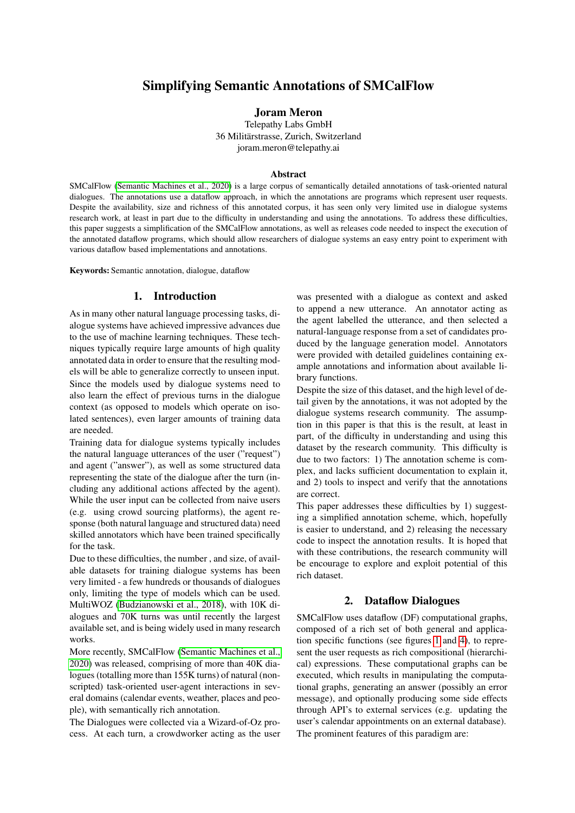# Simplifying Semantic Annotations of SMCalFlow

Joram Meron

Telepathy Labs GmbH 36 Militarstrasse, Zurich, Switzerland ¨ joram.meron@telepathy.ai

#### Abstract

SMCalFlow [\(Semantic Machines et al., 2020\)](#page-4-0) is a large corpus of semantically detailed annotations of task-oriented natural dialogues. The annotations use a dataflow approach, in which the annotations are programs which represent user requests. Despite the availability, size and richness of this annotated corpus, it has seen only very limited use in dialogue systems research work, at least in part due to the difficulty in understanding and using the annotations. To address these difficulties, this paper suggests a simplification of the SMCalFlow annotations, as well as releases code needed to inspect the execution of the annotated dataflow programs, which should allow researchers of dialogue systems an easy entry point to experiment with various dataflow based implementations and annotations.

Keywords: Semantic annotation, dialogue, dataflow

#### 1. Introduction

As in many other natural language processing tasks, dialogue systems have achieved impressive advances due to the use of machine learning techniques. These techniques typically require large amounts of high quality annotated data in order to ensure that the resulting models will be able to generalize correctly to unseen input. Since the models used by dialogue systems need to also learn the effect of previous turns in the dialogue context (as opposed to models which operate on isolated sentences), even larger amounts of training data are needed.

Training data for dialogue systems typically includes the natural language utterances of the user ("request") and agent ("answer"), as well as some structured data representing the state of the dialogue after the turn (including any additional actions affected by the agent). While the user input can be collected from naive users (e.g. using crowd sourcing platforms), the agent response (both natural language and structured data) need skilled annotators which have been trained specifically for the task.

Due to these difficulties, the number , and size, of available datasets for training dialogue systems has been very limited - a few hundreds or thousands of dialogues only, limiting the type of models which can be used. MultiWOZ [\(Budzianowski et al., 2018\)](#page-4-1), with 10K dialogues and 70K turns was until recently the largest available set, and is being widely used in many research works.

More recently, SMCalFlow [\(Semantic Machines et al.,](#page-4-0) [2020\)](#page-4-0) was released, comprising of more than 40K dialogues (totalling more than 155K turns) of natural (nonscripted) task-oriented user-agent interactions in several domains (calendar events, weather, places and people), with semantically rich annotation.

The Dialogues were collected via a Wizard-of-Oz process. At each turn, a crowdworker acting as the user

was presented with a dialogue as context and asked to append a new utterance. An annotator acting as the agent labelled the utterance, and then selected a natural-language response from a set of candidates produced by the language generation model. Annotators were provided with detailed guidelines containing example annotations and information about available library functions.

Despite the size of this dataset, and the high level of detail given by the annotations, it was not adopted by the dialogue systems research community. The assumption in this paper is that this is the result, at least in part, of the difficulty in understanding and using this dataset by the research community. This difficulty is due to two factors: 1) The annotation scheme is complex, and lacks sufficient documentation to explain it, and 2) tools to inspect and verify that the annotations are correct.

This paper addresses these difficulties by 1) suggesting a simplified annotation scheme, which, hopefully is easier to understand, and 2) releasing the necessary code to inspect the annotation results. It is hoped that with these contributions, the research community will be encourage to explore and exploit potential of this rich dataset.

#### 2. Dataflow Dialogues

SMCalFlow uses dataflow (DF) computational graphs, composed of a rich set of both general and application specific functions (see figures [1](#page-2-0) and [4\)](#page-3-0), to represent the user requests as rich compositional (hierarchical) expressions. These computational graphs can be executed, which results in manipulating the computational graphs, generating an answer (possibly an error message), and optionally producing some side effects through API's to external services (e.g. updating the user's calendar appointments on an external database). The prominent features of this paradigm are: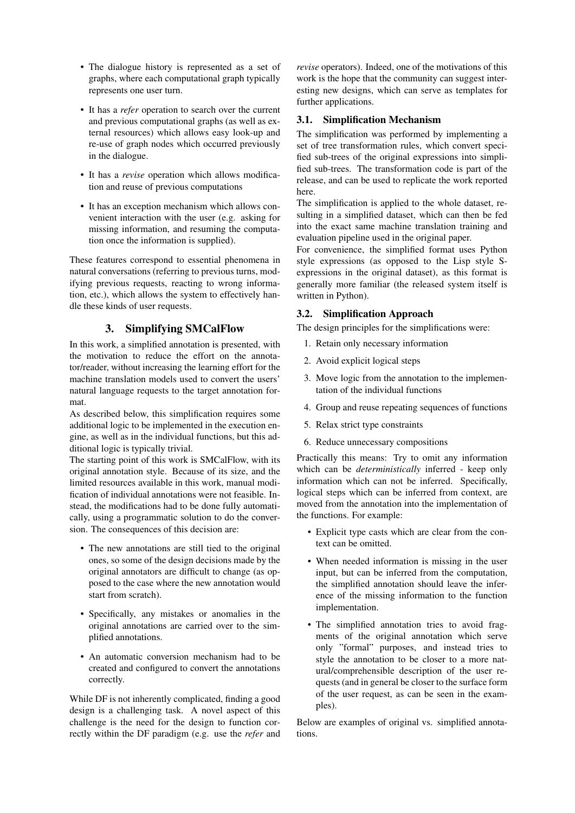- The dialogue history is represented as a set of graphs, where each computational graph typically represents one user turn.
- It has a *refer* operation to search over the current and previous computational graphs (as well as external resources) which allows easy look-up and re-use of graph nodes which occurred previously in the dialogue.
- It has a *revise* operation which allows modification and reuse of previous computations
- It has an exception mechanism which allows convenient interaction with the user (e.g. asking for missing information, and resuming the computation once the information is supplied).

These features correspond to essential phenomena in natural conversations (referring to previous turns, modifying previous requests, reacting to wrong information, etc.), which allows the system to effectively handle these kinds of user requests.

# 3. Simplifying SMCalFlow

In this work, a simplified annotation is presented, with the motivation to reduce the effort on the annotator/reader, without increasing the learning effort for the machine translation models used to convert the users' natural language requests to the target annotation format.

As described below, this simplification requires some additional logic to be implemented in the execution engine, as well as in the individual functions, but this additional logic is typically trivial.

The starting point of this work is SMCalFlow, with its original annotation style. Because of its size, and the limited resources available in this work, manual modification of individual annotations were not feasible. Instead, the modifications had to be done fully automatically, using a programmatic solution to do the conversion. The consequences of this decision are:

- The new annotations are still tied to the original ones, so some of the design decisions made by the original annotators are difficult to change (as opposed to the case where the new annotation would start from scratch).
- Specifically, any mistakes or anomalies in the original annotations are carried over to the simplified annotations.
- An automatic conversion mechanism had to be created and configured to convert the annotations correctly.

While DF is not inherently complicated, finding a good design is a challenging task. A novel aspect of this challenge is the need for the design to function correctly within the DF paradigm (e.g. use the *refer* and

*revise* operators). Indeed, one of the motivations of this work is the hope that the community can suggest interesting new designs, which can serve as templates for further applications.

## 3.1. Simplification Mechanism

The simplification was performed by implementing a set of tree transformation rules, which convert specified sub-trees of the original expressions into simplified sub-trees. The transformation code is part of the release, and can be used to replicate the work reported here.

The simplification is applied to the whole dataset, resulting in a simplified dataset, which can then be fed into the exact same machine translation training and evaluation pipeline used in the original paper.

For convenience, the simplified format uses Python style expressions (as opposed to the Lisp style Sexpressions in the original dataset), as this format is generally more familiar (the released system itself is written in Python).

### 3.2. Simplification Approach

The design principles for the simplifications were:

- 1. Retain only necessary information
- 2. Avoid explicit logical steps
- 3. Move logic from the annotation to the implementation of the individual functions
- 4. Group and reuse repeating sequences of functions
- 5. Relax strict type constraints
- 6. Reduce unnecessary compositions

Practically this means: Try to omit any information which can be *deterministically* inferred - keep only information which can not be inferred. Specifically, logical steps which can be inferred from context, are moved from the annotation into the implementation of the functions. For example:

- Explicit type casts which are clear from the context can be omitted.
- When needed information is missing in the user input, but can be inferred from the computation, the simplified annotation should leave the inference of the missing information to the function implementation.
- The simplified annotation tries to avoid fragments of the original annotation which serve only "formal" purposes, and instead tries to style the annotation to be closer to a more natural/comprehensible description of the user requests (and in general be closer to the surface form of the user request, as can be seen in the examples).

Below are examples of original vs. simplified annotations.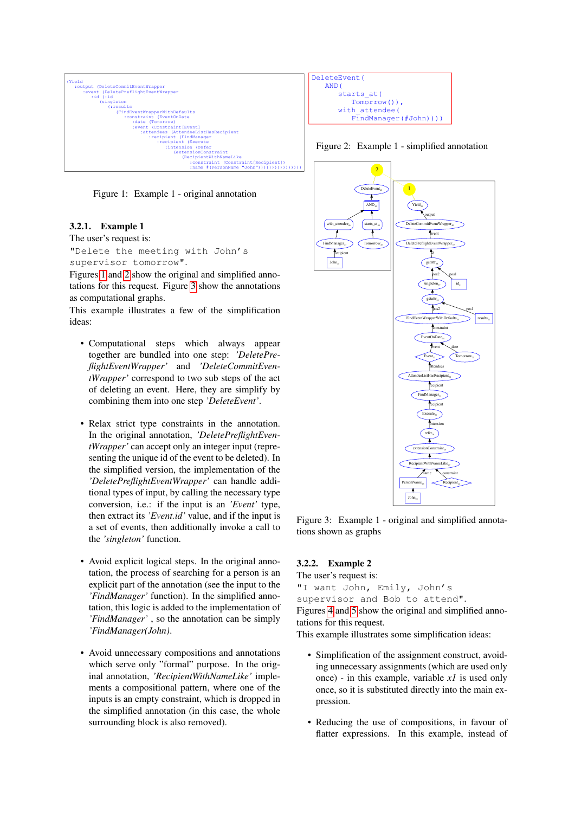

<span id="page-2-0"></span>Figure 1: Example 1 - original annotation

### 3.2.1. Example 1

The user's request is:

"Delete the meeting with John's supervisor tomorrow".

Figures [1](#page-2-0) and [2](#page-2-1) show the original and simplified annotations for this request. Figure [3](#page-2-2) show the annotations as computational graphs.

This example illustrates a few of the simplification ideas:

- Computational steps which always appear together are bundled into one step: *'DeletePreflightEventWrapper'* and *'DeleteCommitEventWrapper'* correspond to two sub steps of the act of deleting an event. Here, they are simplify by combining them into one step *'DeleteEvent'*.
- Relax strict type constraints in the annotation. In the original annotation, *'DeletePreflightEventWrapper'* can accept only an integer input (representing the unique id of the event to be deleted). In the simplified version, the implementation of the *'DeletePreflightEventWrapper'* can handle additional types of input, by calling the necessary type conversion, i.e.: if the input is an *'Event'* type, then extract its *'Event.id'* value, and if the input is a set of events, then additionally invoke a call to the *'singleton'* function.
- Avoid explicit logical steps. In the original annotation, the process of searching for a person is an explicit part of the annotation (see the input to the *'FindManager'* function). In the simplified annotation, this logic is added to the implementation of *'FindManager'* , so the annotation can be simply *'FindManager(John)*.
- Avoid unnecessary compositions and annotations which serve only "formal" purpose. In the original annotation, *'RecipientWithNameLike'* implements a compositional pattern, where one of the inputs is an empty constraint, which is dropped in the simplified annotation (in this case, the whole surrounding block is also removed).

```
DeleteEvent(
    AND(
       starts_at(<br>Tomorrow())
Tomorrow()),<br>with attendee (
with_attendee(<br>FindManager
             FindManager(#John))))
```
<span id="page-2-1"></span>



<span id="page-2-2"></span>Figure 3: Example 1 - original and simplified annotations shown as graphs

## 3.2.2. Example 2

The user's request is:

"I want John, Emily, John's supervisor and Bob to attend". Figures [4](#page-3-0) and [5](#page-3-1) show the original and simplified annotations for this request.

This example illustrates some simplification ideas:

- Simplification of the assignment construct, avoiding unnecessary assignments (which are used only once) - in this example, variable *x1* is used only once, so it is substituted directly into the main expression.
- Reducing the use of compositions, in favour of flatter expressions. In this example, instead of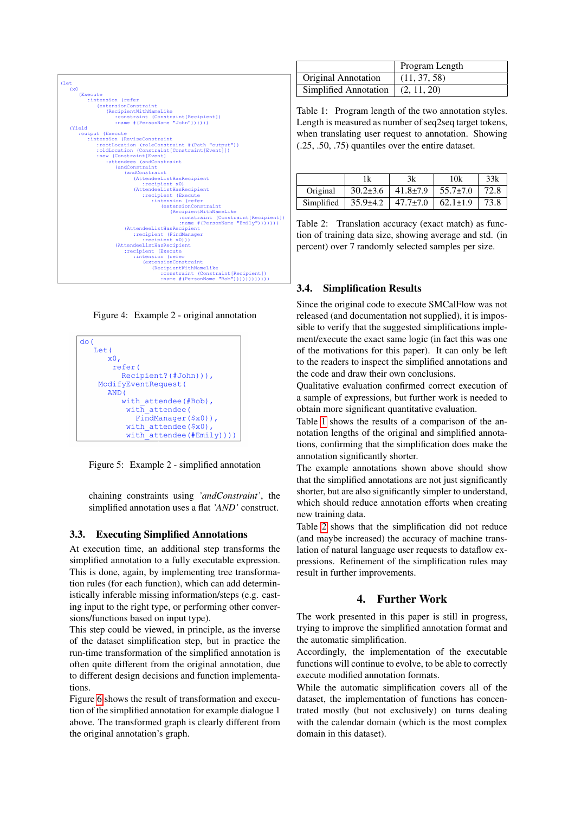| (let                                                                  |
|-----------------------------------------------------------------------|
| (x <sub>0</sub> )                                                     |
| (Execute                                                              |
| :intension (refer                                                     |
| <i>(extensionConstraint</i>                                           |
| (RecipientWithNameLike                                                |
| :constraint (Constraint[Recipient])                                   |
| :name #(PersonName "John"))))))                                       |
| (Yield                                                                |
| :output (Execute                                                      |
| :intension (ReviseConstraint                                          |
| :rootLocation (roleConstraint #(Path "output"))                       |
| :oldLocation (Constraint[Constraint[Event]])                          |
| :new (Constraint[Event]                                               |
| :attendees (andConstraint                                             |
| (andConstraint                                                        |
| (andConstraint                                                        |
| (AttendeeListHasRecipient                                             |
| :recipient x0)                                                        |
| (AttendeeListHasRecipient                                             |
| :recipient (Execute                                                   |
| :intension (refer<br>(extensionConstraint                             |
|                                                                       |
| (RecipientWithNameLike<br>:constraint (Constraint [Recipient])        |
|                                                                       |
| :name # (PersonName "Emily") ) ) ) ) ) )<br>(AttendeeListHasRecipient |
| :recipient (FindManager                                               |
| :recipient x0)))                                                      |
| (AttendeeListHasRecipient                                             |
| : recipient (Execute                                                  |
| :intension (refer                                                     |
| (extensionConstraint                                                  |
| (RecipientWithNameLike                                                |
| :constraint (Constraint[Recipient])                                   |
| : name $# (PersonName "Bob"))))))))))))$                              |
|                                                                       |

<span id="page-3-0"></span>Figure 4: Example 2 - original annotation



<span id="page-3-1"></span>Figure 5: Example 2 - simplified annotation

chaining constraints using *'andConstraint'*, the simplified annotation uses a flat *'AND'* construct.

#### 3.3. Executing Simplified Annotations

At execution time, an additional step transforms the simplified annotation to a fully executable expression. This is done, again, by implementing tree transformation rules (for each function), which can add deterministically inferable missing information/steps (e.g. casting input to the right type, or performing other conversions/functions based on input type).

This step could be viewed, in principle, as the inverse of the dataset simplification step, but in practice the run-time transformation of the simplified annotation is often quite different from the original annotation, due to different design decisions and function implementations.

Figure [6](#page-4-2) shows the result of transformation and execution of the simplified annotation for example dialogue 1 above. The transformed graph is clearly different from the original annotation's graph.

|                                     | Program Length |  |  |
|-------------------------------------|----------------|--|--|
| <b>Original Annotation</b>          | (11, 37, 58)   |  |  |
| Simplified Annotation $(2, 11, 20)$ |                |  |  |

<span id="page-3-2"></span>Table 1: Program length of the two annotation styles. Length is measured as number of seq2seq target tokens, when translating user request to annotation. Showing (.25, .50, .75) quantiles over the entire dataset.

|            | 1k             | 3k             | 10k            | 33k  |
|------------|----------------|----------------|----------------|------|
| Original   | $30.2 \pm 3.6$ | $41.8 \pm 7.9$ | $55.7 \pm 7.0$ | 72.8 |
| Simplified | $35.9 \pm 4.2$ | $47.7 \pm 7.0$ | $62.1 \pm 1.9$ | 73.8 |

<span id="page-3-3"></span>Table 2: Translation accuracy (exact match) as function of training data size, showing average and std. (in percent) over 7 randomly selected samples per size.

## 3.4. Simplification Results

Since the original code to execute SMCalFlow was not released (and documentation not supplied), it is impossible to verify that the suggested simplifications implement/execute the exact same logic (in fact this was one of the motivations for this paper). It can only be left to the readers to inspect the simplified annotations and the code and draw their own conclusions.

Qualitative evaluation confirmed correct execution of a sample of expressions, but further work is needed to obtain more significant quantitative evaluation.

Table [1](#page-3-2) shows the results of a comparison of the annotation lengths of the original and simplified annotations, confirming that the simplification does make the annotation significantly shorter.

The example annotations shown above should show that the simplified annotations are not just significantly shorter, but are also significantly simpler to understand, which should reduce annotation efforts when creating new training data.

Table [2](#page-3-3) shows that the simplification did not reduce (and maybe increased) the accuracy of machine translation of natural language user requests to dataflow expressions. Refinement of the simplification rules may result in further improvements.

# 4. Further Work

The work presented in this paper is still in progress, trying to improve the simplified annotation format and the automatic simplification.

Accordingly, the implementation of the executable functions will continue to evolve, to be able to correctly execute modified annotation formats.

While the automatic simplification covers all of the dataset, the implementation of functions has concentrated mostly (but not exclusively) on turns dealing with the calendar domain (which is the most complex domain in this dataset).